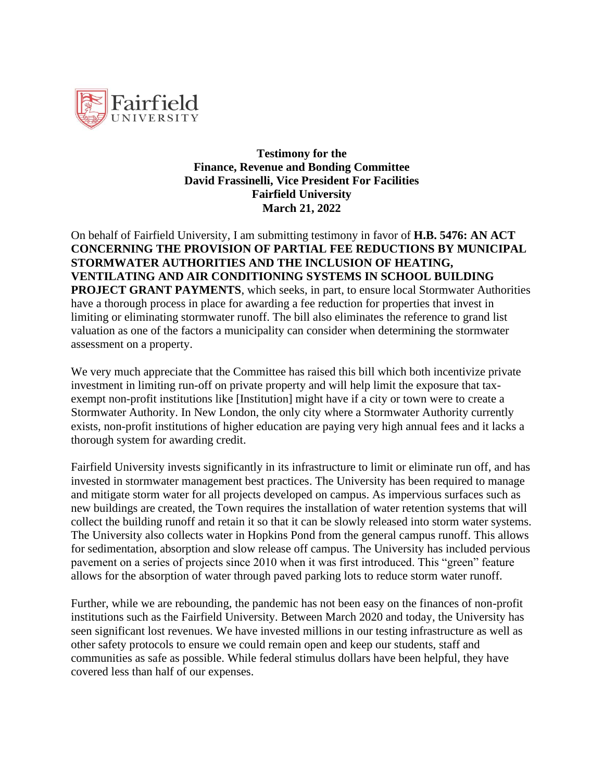

**Testimony for the Finance, Revenue and Bonding Committee David Frassinelli, Vice President For Facilities Fairfield University March 21, 2022**

On behalf of Fairfield University, I am submitting testimony in favor of **H.B. 5476: AN ACT CONCERNING THE PROVISION OF PARTIAL FEE REDUCTIONS BY MUNICIPAL STORMWATER AUTHORITIES AND THE INCLUSION OF HEATING, VENTILATING AND AIR CONDITIONING SYSTEMS IN SCHOOL BUILDING PROJECT GRANT PAYMENTS**, which seeks, in part, to ensure local Stormwater Authorities have a thorough process in place for awarding a fee reduction for properties that invest in limiting or eliminating stormwater runoff. The bill also eliminates the reference to grand list valuation as one of the factors a municipality can consider when determining the stormwater assessment on a property.

We very much appreciate that the Committee has raised this bill which both incentivize private investment in limiting run-off on private property and will help limit the exposure that taxexempt non-profit institutions like [Institution] might have if a city or town were to create a Stormwater Authority. In New London, the only city where a Stormwater Authority currently exists, non-profit institutions of higher education are paying very high annual fees and it lacks a thorough system for awarding credit.

Fairfield University invests significantly in its infrastructure to limit or eliminate run off, and has invested in stormwater management best practices. The University has been required to manage and mitigate storm water for all projects developed on campus. As impervious surfaces such as new buildings are created, the Town requires the installation of water retention systems that will collect the building runoff and retain it so that it can be slowly released into storm water systems. The University also collects water in Hopkins Pond from the general campus runoff. This allows for sedimentation, absorption and slow release off campus. The University has included pervious pavement on a series of projects since 2010 when it was first introduced. This "green" feature allows for the absorption of water through paved parking lots to reduce storm water runoff.

Further, while we are rebounding, the pandemic has not been easy on the finances of non-profit institutions such as the Fairfield University. Between March 2020 and today, the University has seen significant lost revenues. We have invested millions in our testing infrastructure as well as other safety protocols to ensure we could remain open and keep our students, staff and communities as safe as possible. While federal stimulus dollars have been helpful, they have covered less than half of our expenses.